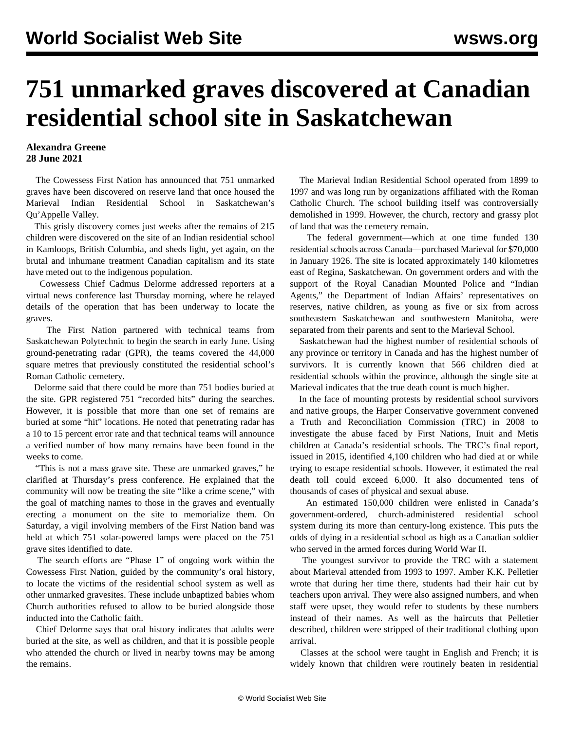## **751 unmarked graves discovered at Canadian residential school site in Saskatchewan**

## **Alexandra Greene 28 June 2021**

 The Cowessess First Nation has announced that 751 unmarked graves have been discovered on reserve land that once housed the Marieval Indian Residential School in Saskatchewan's Qu'Appelle Valley.

 This grisly discovery comes just weeks after the remains of 215 children were discovered on the site of an Indian residential school in Kamloops, British Columbia, and sheds light, yet again, on the brutal and inhumane treatment Canadian capitalism and its state have meted out to the indigenous population.

 Cowessess Chief Cadmus Delorme addressed reporters at a virtual news conference last Thursday morning, where he relayed details of the operation that has been underway to locate the graves.

 The First Nation partnered with technical teams from Saskatchewan Polytechnic to begin the search in early June. Using ground-penetrating radar (GPR), the teams covered the 44,000 square metres that previously constituted the residential school's Roman Catholic cemetery.

 Delorme said that there could be more than 751 bodies buried at the site. GPR registered 751 "recorded hits" during the searches. However, it is possible that more than one set of remains are buried at some "hit" locations. He noted that penetrating radar has a 10 to 15 percent error rate and that technical teams will announce a verified number of how many remains have been found in the weeks to come.

 "This is not a mass grave site. These are unmarked graves," he clarified at Thursday's press conference. He explained that the community will now be treating the site "like a crime scene," with the goal of matching names to those in the graves and eventually erecting a monument on the site to memorialize them. On Saturday, a vigil involving members of the First Nation band was held at which 751 solar-powered lamps were placed on the 751 grave sites identified to date.

 The search efforts are "Phase 1" of ongoing work within the Cowessess First Nation, guided by the community's oral history, to locate the victims of the residential school system as well as other unmarked gravesites. These include unbaptized babies whom Church authorities refused to allow to be buried alongside those inducted into the Catholic faith.

 Chief Delorme says that oral history indicates that adults were buried at the site, as well as children, and that it is possible people who attended the church or lived in nearby towns may be among the remains.

 The Marieval Indian Residential School operated from 1899 to 1997 and was long run by organizations affiliated with the Roman Catholic Church. The school building itself was controversially demolished in 1999. However, the church, rectory and grassy plot of land that was the cemetery remain.

 The federal government—which at one time funded 130 residential schools across Canada—purchased Marieval for \$70,000 in January 1926. The site is located approximately 140 kilometres east of Regina, Saskatchewan. On government orders and with the support of the Royal Canadian Mounted Police and "Indian Agents," the Department of Indian Affairs' representatives on reserves, native children, as young as five or six from across southeastern Saskatchewan and southwestern Manitoba, were separated from their parents and sent to the Marieval School.

 Saskatchewan had the highest number of residential schools of any province or territory in Canada and has the highest number of survivors. It is currently known that 566 children died at residential schools within the province, although the single site at Marieval indicates that the true death count is much higher.

 In the face of mounting protests by residential school survivors and native groups, the Harper Conservative government convened a Truth and Reconciliation Commission (TRC) in 2008 to investigate the abuse faced by First Nations, Inuit and Metis children at Canada's residential schools. The TRC's final report, issued in 2015, identified 4,100 children who had died at or while trying to escape residential schools. However, it estimated the real death toll could exceed 6,000. It also documented tens of thousands of cases of physical and sexual abuse.

 An estimated 150,000 children were enlisted in Canada's government-ordered, church-administered residential school system during its more than century-long existence. This puts the odds of dying in a residential school as high as a Canadian soldier who served in the armed forces during World War II.

 The youngest survivor to provide the TRC with a statement about Marieval attended from 1993 to 1997. Amber K.K. Pelletier wrote that during her time there, students had their hair cut by teachers upon arrival. They were also assigned numbers, and when staff were upset, they would refer to students by these numbers instead of their names. As well as the haircuts that Pelletier described, children were stripped of their traditional clothing upon arrival.

 Classes at the school were taught in English and French; it is widely known that children were routinely beaten in residential